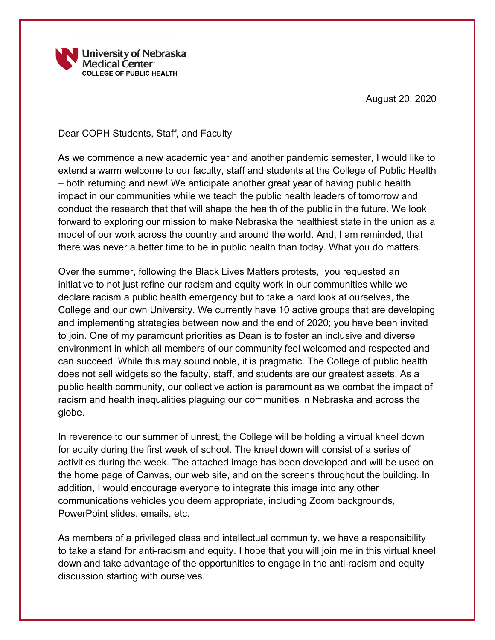

August 20, 2020

Dear COPH Students, Staff, and Faculty –

As we commence a new academic year and another pandemic semester, I would like to extend a warm welcome to our faculty, staff and students at the College of Public Health – both returning and new! We anticipate another great year of having public health impact in our communities while we teach the public health leaders of tomorrow and conduct the research that that will shape the health of the public in the future. We look forward to exploring our mission to make Nebraska the healthiest state in the union as a model of our work across the country and around the world. And, I am reminded, that there was never a better time to be in public health than today. What you do matters.

Over the summer, following the Black Lives Matters protests, you requested an initiative to not just refine our racism and equity work in our communities while we declare racism a public health emergency but to take a hard look at ourselves, the College and our own University. We currently have 10 active groups that are developing and implementing strategies between now and the end of 2020; you have been invited to join. One of my paramount priorities as Dean is to foster an inclusive and diverse environment in which all members of our community feel welcomed and respected and can succeed. While this may sound noble, it is pragmatic. The College of public health does not sell widgets so the faculty, staff, and students are our greatest assets. As a public health community, our collective action is paramount as we combat the impact of racism and health inequalities plaguing our communities in Nebraska and across the globe.

In reverence to our summer of unrest, the College will be holding a virtual kneel down for equity during the first week of school. The kneel down will consist of a series of activities during the week. The attached image has been developed and will be used on the home page of Canvas, our web site, and on the screens throughout the building. In addition, I would encourage everyone to integrate this image into any other communications vehicles you deem appropriate, including Zoom backgrounds, PowerPoint slides, emails, etc.

As members of a privileged class and intellectual community, we have a responsibility to take a stand for anti-racism and equity. I hope that you will join me in this virtual kneel down and take advantage of the opportunities to engage in the anti-racism and equity discussion starting with ourselves.